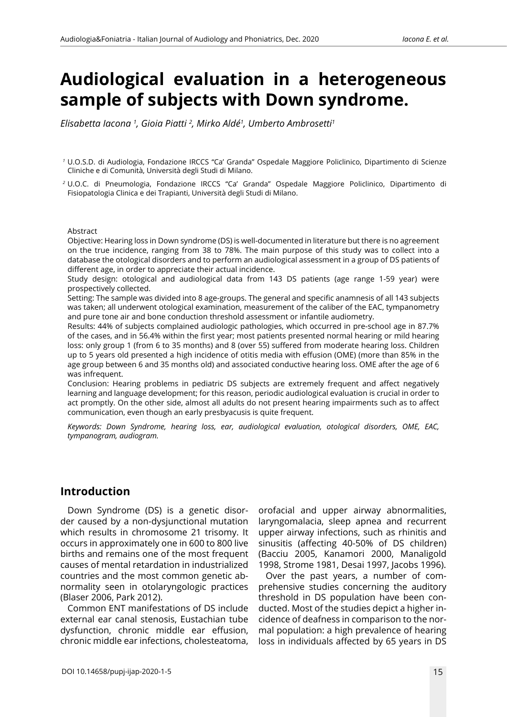# **Audiological evaluation in a heterogeneous sample of subjects with Down syndrome.**

*Elisabetta Iacona 1 , Gioia Piatti 2 , Mirko Aldé1 , Umberto Ambrosetti1*

#### Abstract

Objective: Hearing loss in Down syndrome (DS) is well-documented in literature but there is no agreement on the true incidence, ranging from 38 to 78%. The main purpose of this study was to collect into a database the otological disorders and to perform an audiological assessment in a group of DS patients of different age, in order to appreciate their actual incidence.

Study design: otological and audiological data from 143 DS patients (age range 1-59 year) were prospectively collected.

Setting: The sample was divided into 8 age-groups. The general and specific anamnesis of all 143 subjects was taken; all underwent otological examination, measurement of the caliber of the EAC, tympanometry and pure tone air and bone conduction threshold assessment or infantile audiometry.

Results: 44% of subjects complained audiologic pathologies, which occurred in pre-school age in 87.7% of the cases, and in 56.4% within the first year; most patients presented normal hearing or mild hearing loss: only group 1 (from 6 to 35 months) and 8 (over 55) suffered from moderate hearing loss. Children up to 5 years old presented a high incidence of otitis media with effusion (OME) (more than 85% in the age group between 6 and 35 months old) and associated conductive hearing loss. OME after the age of 6 was infrequent.

Conclusion: Hearing problems in pediatric DS subjects are extremely frequent and affect negatively learning and language development; for this reason, periodic audiological evaluation is crucial in order to act promptly. On the other side, almost all adults do not present hearing impairments such as to affect communication, even though an early presbyacusis is quite frequent.

*Keywords: Down Syndrome, hearing loss, ear, audiological evaluation, otological disorders, OME, EAC, tympanogram, audiogram.*

#### **Introduction**

Down Syndrome (DS) is a genetic disorder caused by a non-dysjunctional mutation which results in chromosome 21 trisomy. It occurs in approximately one in 600 to 800 live births and remains one of the most frequent causes of mental retardation in industrialized countries and the most common genetic abnormality seen in otolaryngologic practices (Blaser 2006, Park 2012).

Common ENT manifestations of DS include external ear canal stenosis, Eustachian tube dysfunction, chronic middle ear effusion, chronic middle ear infections, cholesteatoma, orofacial and upper airway abnormalities, laryngomalacia, sleep apnea and recurrent upper airway infections, such as rhinitis and sinusitis (affecting 40-50% of DS children) (Bacciu 2005, Kanamori 2000, Manaligold 1998, Strome 1981, Desai 1997, Jacobs 1996).

Over the past years, a number of comprehensive studies concerning the auditory threshold in DS population have been conducted. Most of the studies depict a higher incidence of deafness in comparison to the normal population: a high prevalence of hearing loss in individuals affected by 65 years in DS

*<sup>1</sup>* U.O.S.D. di Audiologia, Fondazione IRCCS "Ca' Granda" Ospedale Maggiore Policlinico, Dipartimento di Scienze Cliniche e di Comunità, Università degli Studi di Milano.

*<sup>2</sup>* U.O.C. di Pneumologia, Fondazione IRCCS "Ca' Granda" Ospedale Maggiore Policlinico, Dipartimento di Fisiopatologia Clinica e dei Trapianti, Università degli Studi di Milano.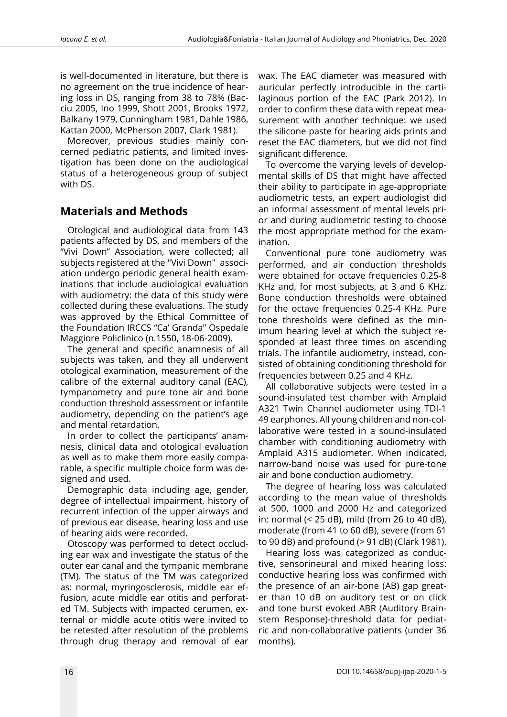is well-documented in literature, but there is no agreement on the true incidence of hearing loss in DS, ranging from 38 to 78% (Bacciu 2005, Ino 1999, Shott 2001, Brooks 1972, Balkany 1979, Cunningham 1981, Dahle 1986, Kattan 2000, McPherson 2007, Clark 1981).

Moreover, previous studies mainly concerned pediatric patients, and limited investigation has been done on the audiological status of a heterogeneous group of subject with DS.

#### **Materials and Methods**

Otological and audiological data from 143 patients affected by DS, and members of the "Vivi Down" Association, were collected; all subjects registered at the "Vivi Down" association undergo periodic general health examinations that include audiological evaluation with audiometry: the data of this study were collected during these evaluations. The study was approved by the Ethical Committee of the Foundation IRCCS "Ca' Granda" Ospedale Maggiore Policlinico (n.1550, 18-06-2009).

The general and specific anamnesis of all subjects was taken, and they all underwent otological examination, measurement of the calibre of the external auditory canal (EAC), tympanometry and pure tone air and bone conduction threshold assessment or infantile audiometry, depending on the patient's age and mental retardation.

In order to collect the participants' anamnesis, clinical data and otological evaluation as well as to make them more easily comparable, a specific multiple choice form was designed and used.

Demographic data including age, gender, degree of intellectual impairment, history of recurrent infection of the upper airways and of previous ear disease, hearing loss and use of hearing aids were recorded.

Otoscopy was performed to detect occluding ear wax and investigate the status of the outer ear canal and the tympanic membrane (TM). The status of the TM was categorized as: normal, myringosclerosis, middle ear effusion, acute middle ear otitis and perforated TM. Subjects with impacted cerumen, external or middle acute otitis were invited to be retested after resolution of the problems through drug therapy and removal of ear wax. The EAC diameter was measured with auricular perfectly introducible in the cartilaginous portion of the EAC (Park 2012). In order to confirm these data with repeat measurement with another technique: we used the silicone paste for hearing aids prints and reset the EAC diameters, but we did not find significant difference.

To overcome the varying levels of developmental skills of DS that might have affected their ability to participate in age-appropriate audiometric tests, an expert audiologist did an informal assessment of mental levels prior and during audiometric testing to choose the most appropriate method for the examination.

Conventional pure tone audiometry was performed, and air conduction thresholds were obtained for octave frequencies 0.25-8 KHz and, for most subjects, at 3 and 6 KHz. Bone conduction thresholds were obtained for the octave frequencies 0.25-4 KHz. Pure tone thresholds were defined as the minimum hearing level at which the subject responded at least three times on ascending trials. The infantile audiometry, instead, consisted of obtaining conditioning threshold for frequencies between 0.25 and 4 KHz.

All collaborative subjects were tested in a sound-insulated test chamber with Amplaid A321 Twin Channel audiometer using TDI-1 49 earphones. All young children and non-collaborative were tested in a sound-insulated chamber with conditioning audiometry with Amplaid A315 audiometer. When indicated, narrow-band noise was used for pure-tone air and bone conduction audiometry.

The degree of hearing loss was calculated according to the mean value of thresholds at 500, 1000 and 2000 Hz and categorized in: normal (< 25 dB), mild (from 26 to 40 dB), moderate (from 41 to 60 dB), severe (from 61 to 90 dB) and profound (> 91 dB) (Clark 1981).

Hearing loss was categorized as conductive, sensorineural and mixed hearing loss: conductive hearing loss was confirmed with the presence of an air-bone (AB) gap greater than 10 dB on auditory test or on click and tone burst evoked ABR (Auditory Brainstem Response)-threshold data for pediatric and non-collaborative patients (under 36 months).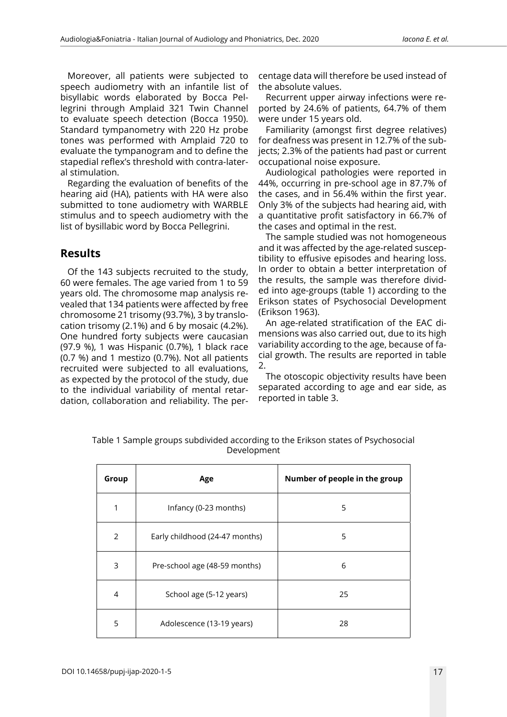Moreover, all patients were subjected to speech audiometry with an infantile list of bisyllabic words elaborated by Bocca Pellegrini through Amplaid 321 Twin Channel to evaluate speech detection (Bocca 1950). Standard tympanometry with 220 Hz probe tones was performed with Amplaid 720 to evaluate the tympanogram and to define the stapedial reflex's threshold with contra-lateral stimulation.

Regarding the evaluation of benefits of the hearing aid (HA), patients with HA were also submitted to tone audiometry with WARBLE stimulus and to speech audiometry with the list of bysillabic word by Bocca Pellegrini.

## **Results**

Of the 143 subjects recruited to the study, 60 were females. The age varied from 1 to 59 years old. The chromosome map analysis revealed that 134 patients were affected by free chromosome 21 trisomy (93.7%), 3 by translocation trisomy (2.1%) and 6 by mosaic (4.2%). One hundred forty subjects were caucasian (97.9 %), 1 was Hispanic (0.7%), 1 black race (0.7 %) and 1 mestizo (0.7%). Not all patients recruited were subjected to all evaluations, as expected by the protocol of the study, due to the individual variability of mental retardation, collaboration and reliability. The percentage data will therefore be used instead of the absolute values.

Recurrent upper airway infections were reported by 24.6% of patients, 64.7% of them were under 15 years old.

Familiarity (amongst first degree relatives) for deafness was present in 12.7% of the subjects; 2.3% of the patients had past or current occupational noise exposure.

Audiological pathologies were reported in 44%, occurring in pre-school age in 87.7% of the cases, and in 56.4% within the first year. Only 3% of the subjects had hearing aid, with a quantitative profit satisfactory in 66.7% of the cases and optimal in the rest.

The sample studied was not homogeneous and it was affected by the age-related susceptibility to effusive episodes and hearing loss. In order to obtain a better interpretation of the results, the sample was therefore divided into age-groups (table 1) according to the Erikson states of Psychosocial Development (Erikson 1963).

An age-related stratification of the EAC dimensions was also carried out, due to its high variability according to the age, because of facial growth. The results are reported in table 2.

The otoscopic objectivity results have been separated according to age and ear side, as reported in table 3.

| Group          | Age                            | Number of people in the group |
|----------------|--------------------------------|-------------------------------|
| 1              | Infancy (0-23 months)          | 5                             |
| 2              | Early childhood (24-47 months) | 5                             |
| 3              | Pre-school age (48-59 months)  | 6                             |
| $\overline{4}$ | School age (5-12 years)        | 25                            |
| 5              | Adolescence (13-19 years)      | 28                            |

Table 1 Sample groups subdivided according to the Erikson states of Psychosocial Development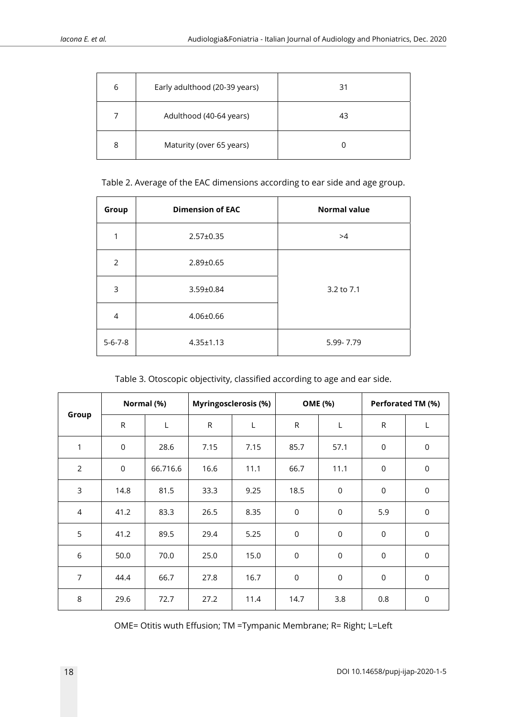| 6 | Early adulthood (20-39 years) | 31 |
|---|-------------------------------|----|
| 7 | Adulthood (40-64 years)       | 43 |
| 8 | Maturity (over 65 years)      |    |

Table 2. Average of the EAC dimensions according to ear side and age group.

| Group           | <b>Dimension of EAC</b> | <b>Normal value</b> |
|-----------------|-------------------------|---------------------|
| 1               | $2.57 \pm 0.35$         | >4                  |
| $\overline{2}$  | $2.89 \pm 0.65$         |                     |
| 3               | 3.59±0.84               | 3.2 to 7.1          |
| $\overline{4}$  | $4.06 \pm 0.66$         |                     |
| $5 - 6 - 7 - 8$ | $4.35 \pm 1.13$         | 5.99-7.79           |

Table 3. Otoscopic objectivity, classified according to age and ear side.

|                | Normal (%)  |          | Myringosclerosis (%) |      | <b>OME</b> (%) |             | Perforated TM (%)   |             |
|----------------|-------------|----------|----------------------|------|----------------|-------------|---------------------|-------------|
| Group          | ${\sf R}$   | L        | $\mathsf{R}$         | L    | ${\sf R}$      | L           | ${\sf R}$           | L           |
| 1              | $\mathbf 0$ | 28.6     | 7.15                 | 7.15 | 85.7           | 57.1        | $\mathsf 0$         | $\pmb{0}$   |
| 2              | $\mathbf 0$ | 66.716.6 | 16.6                 | 11.1 | 66.7           | 11.1        | $\mathsf 0$         | $\pmb{0}$   |
| 3              | 14.8        | 81.5     | 33.3                 | 9.25 | 18.5           | $\mathbf 0$ | $\mathsf 0$         | $\mathsf 0$ |
| 4              | 41.2        | 83.3     | 26.5                 | 8.35 | $\mathsf 0$    | $\mathbf 0$ | 5.9                 | $\mathbf 0$ |
| 5              | 41.2        | 89.5     | 29.4                 | 5.25 | $\mathbf 0$    | $\mathbf 0$ | $\mathsf{O}\xspace$ | $\mathbf 0$ |
| $6\,$          | 50.0        | 70.0     | 25.0                 | 15.0 | $\mathbf 0$    | $\mathbf 0$ | $\mathsf 0$         | $\pmb{0}$   |
| $\overline{7}$ | 44.4        | 66.7     | 27.8                 | 16.7 | $\mathbf 0$    | $\mathbf 0$ | 0                   | $\mathbf 0$ |
| $\,8\,$        | 29.6        | 72.7     | 27.2                 | 11.4 | 14.7           | 3.8         | 0.8                 | $\mathbf 0$ |

OME= Otitis wuth Effusion; TM =Tympanic Membrane; R= Right; L=Left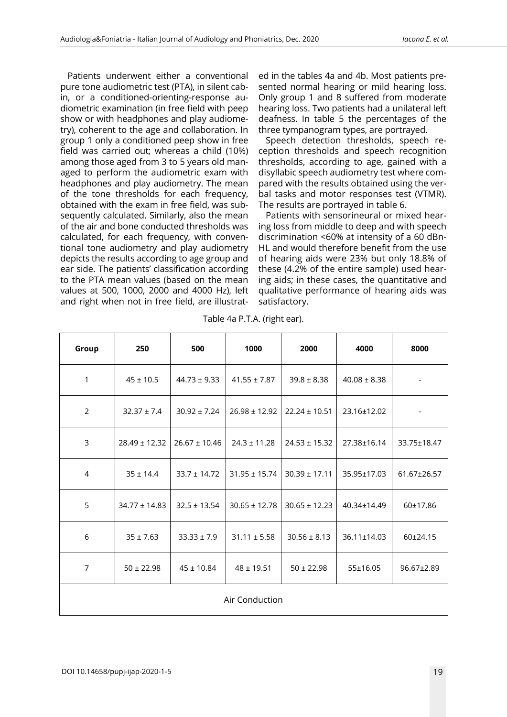Patients underwent either a conventional pure tone audiometric test (PTA), in silent cabin, or a conditioned-orienting-response audiometric examination (in free field with peep show or with headphones and play audiometry), coherent to the age and collaboration. In group 1 only a conditioned peep show in free field was carried out; whereas a child (10%) among those aged from 3 to 5 years old managed to perform the audiometric exam with headphones and play audiometry. The mean of the tone thresholds for each frequency, obtained with the exam in free field, was subsequently calculated. Similarly, also the mean of the air and bone conducted thresholds was calculated, for each frequency, with conventional tone audiometry and play audiometry depicts the results according to age group and ear side. The patients' classification according to the PTA mean values (based on the mean values at 500, 1000, 2000 and 4000 Hz), left and right when not in free field, are illustrated in the tables 4a and 4b. Most patients presented normal hearing or mild hearing loss. Only group 1 and 8 suffered from moderate hearing loss. Two patients had a unilateral left deafness. In table 5 the percentages of the three tympanogram types, are portrayed.

Speech detection thresholds, speech reception thresholds and speech recognition thresholds, according to age, gained with a disyllabic speech audiometry test where compared with the results obtained using the verbal tasks and motor responses test (VTMR). The results are portrayed in table 6.

Patients with sensorineural or mixed hearing loss from middle to deep and with speech discrimination <60% at intensity of a 60 dBn-HL and would therefore benefit from the use of hearing aids were 23% but only 18.8% of these (4.2% of the entire sample) used hearing aids; in these cases, the quantitative and qualitative performance of hearing aids was satisfactory.

| Group          | 250               | 500               | 1000              | 2000              | 4000             | 8000        |  |
|----------------|-------------------|-------------------|-------------------|-------------------|------------------|-------------|--|
| $\mathbf{1}$   | $45 \pm 10.5$     | $44.73 \pm 9.33$  | $41.55 \pm 7.87$  | $39.8 \pm 8.38$   | $40.08 \pm 8.38$ |             |  |
| $\overline{2}$ | $32.37 \pm 7.4$   | $30.92 \pm 7.24$  | $26.98 \pm 12.92$ | $22.24 \pm 10.51$ | 23.16±12.02      |             |  |
| 3              | $28.49 \pm 12.32$ | $26.67 \pm 10.46$ | $24.3 \pm 11.28$  | $24.53 \pm 15.32$ | 27.38±16.14      | 33.75±18.47 |  |
| $\overline{4}$ | $35 \pm 14.4$     | $33.7 \pm 14.72$  | $31.95 \pm 15.74$ | $30.39 \pm 17.11$ | 35.95±17.03      | 61.67±26.57 |  |
| 5              | $34.77 \pm 14.83$ | $32.5 \pm 13.54$  | $30.65 \pm 12.78$ | $30.65 \pm 12.23$ | 40.34±14.49      | 60±17.86    |  |
| 6              | $35 \pm 7.63$     | $33.33 \pm 7.9$   | $31.11 \pm 5.58$  | $30.56 \pm 8.13$  | 36.11±14.03      | 60±24.15    |  |
| $\overline{7}$ | $50 \pm 22.98$    | $45 \pm 10.84$    | $48 \pm 19.51$    | $50 \pm 22.98$    | 55±16.05         | 96.67±2.89  |  |
| Air Conduction |                   |                   |                   |                   |                  |             |  |

Table 4a P.T.A. (right ear).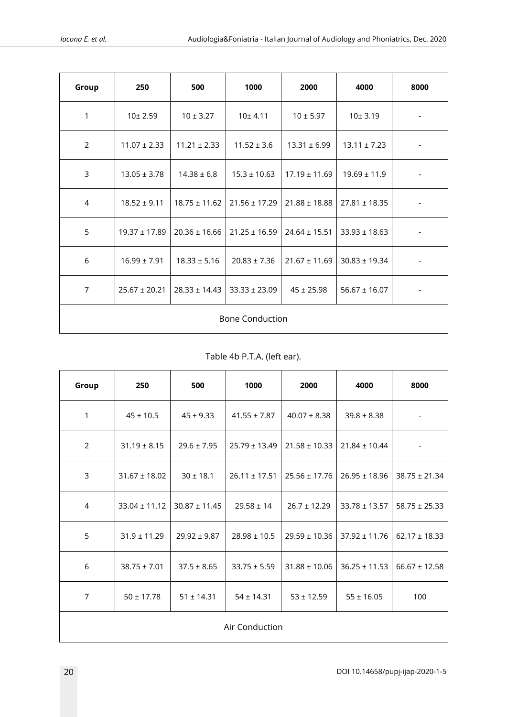| Group                  | 250               | 500               | 1000              | 2000              | 4000              | 8000 |  |
|------------------------|-------------------|-------------------|-------------------|-------------------|-------------------|------|--|
| 1                      | 10± 2.59          | $10 \pm 3.27$     | 10±4.11           | $10 \pm 5.97$     | 10±3.19           |      |  |
| $\overline{2}$         | $11.07 \pm 2.33$  | $11.21 \pm 2.33$  | $11.52 \pm 3.6$   | $13.31 \pm 6.99$  | $13.11 \pm 7.23$  |      |  |
| $\overline{3}$         | $13.05 \pm 3.78$  | $14.38 \pm 6.8$   | $15.3 \pm 10.63$  | $17.19 \pm 11.69$ | $19.69 \pm 11.9$  |      |  |
| 4                      | $18.52 \pm 9.11$  | $18.75 \pm 11.62$ | $21.56 \pm 17.29$ | $21.88 \pm 18.88$ | $27.81 \pm 18.35$ |      |  |
| 5                      | $19.37 \pm 17.89$ | $20.36 \pm 16.66$ | $21.25 \pm 16.59$ | $24.64 \pm 15.51$ | $33.93 \pm 18.63$ |      |  |
| 6                      | $16.99 \pm 7.91$  | $18.33 \pm 5.16$  | $20.83 \pm 7.36$  | $21.67 \pm 11.69$ | $30.83 \pm 19.34$ |      |  |
| $\overline{7}$         | $25.67 \pm 20.21$ | $28.33 \pm 14.43$ | $33.33 \pm 23.09$ | $45 \pm 25.98$    | $56.67 \pm 16.07$ |      |  |
| <b>Bone Conduction</b> |                   |                   |                   |                   |                   |      |  |

Table 4b P.T.A. (left ear).

| Group          | 250               | 500               | 1000              | 2000              | 4000              | 8000              |  |
|----------------|-------------------|-------------------|-------------------|-------------------|-------------------|-------------------|--|
| 1              | $45 \pm 10.5$     | $45 \pm 9.33$     | $41.55 \pm 7.87$  | $40.07 \pm 8.38$  | $39.8 \pm 8.38$   |                   |  |
| $\overline{2}$ | $31.19 \pm 8.15$  | $29.6 \pm 7.95$   | $25.79 \pm 13.49$ | $21.58 \pm 10.33$ | $21.84 \pm 10.44$ |                   |  |
| 3              | $31.67 \pm 18.02$ | $30 \pm 18.1$     | $26.11 \pm 17.51$ | $25.56 \pm 17.76$ | $26.95 \pm 18.96$ | $38.75 \pm 21.34$ |  |
| $\overline{4}$ | $33.04 \pm 11.12$ | $30.87 \pm 11.45$ | $29.58 \pm 14$    | $26.7 \pm 12.29$  | $33.78 \pm 13.57$ | $58.75 \pm 25.33$ |  |
| 5              | $31.9 \pm 11.29$  | $29.92 \pm 9.87$  | $28.98 \pm 10.5$  | $29.59 \pm 10.36$ | $37.92 \pm 11.76$ | $62.17 \pm 18.33$ |  |
| 6              | $38.75 \pm 7.01$  | $37.5 \pm 8.65$   | $33.75 \pm 5.59$  | $31.88 \pm 10.06$ | $36.25 \pm 11.53$ | $66.67 \pm 12.58$ |  |
| $\overline{7}$ | $50 \pm 17.78$    | $51 \pm 14.31$    | $54 \pm 14.31$    | $53 \pm 12.59$    | $55 \pm 16.05$    | 100               |  |
| Air Conduction |                   |                   |                   |                   |                   |                   |  |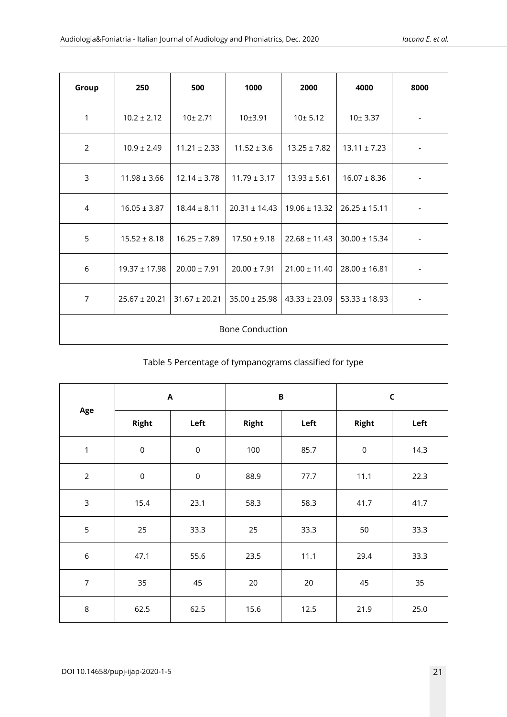| Group                  | 250               | 500               | 1000              | 2000              | 4000              | 8000 |  |
|------------------------|-------------------|-------------------|-------------------|-------------------|-------------------|------|--|
| 1                      | $10.2 \pm 2.12$   | 10± 2.71          | 10±3.91           | 10±5.12           | 10±3.37           |      |  |
| $\overline{2}$         | $10.9 \pm 2.49$   | $11.21 \pm 2.33$  | $11.52 \pm 3.6$   | $13.25 \pm 7.82$  | $13.11 \pm 7.23$  |      |  |
| $\overline{3}$         | $11.98 \pm 3.66$  | $12.14 \pm 3.78$  | $11.79 \pm 3.17$  | $13.93 \pm 5.61$  | $16.07 \pm 8.36$  |      |  |
| 4                      | $16.05 \pm 3.87$  | $18.44 \pm 8.11$  | $20.31 \pm 14.43$ | $19.06 \pm 13.32$ | $26.25 \pm 15.11$ |      |  |
| 5                      | $15.52 \pm 8.18$  | $16.25 \pm 7.89$  | $17.50 \pm 9.18$  | $22.68 \pm 11.43$ | $30.00 \pm 15.34$ |      |  |
| 6                      | $19.37 \pm 17.98$ | $20.00 \pm 7.91$  | $20.00 \pm 7.91$  | $21.00 \pm 11.40$ | $28.00 \pm 16.81$ |      |  |
| $\overline{7}$         | $25.67 \pm 20.21$ | $31.67 \pm 20.21$ | $35.00 \pm 25.98$ | $43.33 \pm 23.09$ | $53.33 \pm 18.93$ |      |  |
| <b>Bone Conduction</b> |                   |                   |                   |                   |                   |      |  |

Table 5 Percentage of tympanograms classified for type

| Age              | $\boldsymbol{\mathsf{A}}$ |             |       | $\mathbf B$ | $\mathsf{C}$ |      |  |
|------------------|---------------------------|-------------|-------|-------------|--------------|------|--|
|                  | Right                     | Left        | Right | Left        | <b>Right</b> | Left |  |
| $\mathbf{1}$     | $\mathbf 0$               | $\mathbf 0$ | 100   | 85.7        | $\mathsf 0$  | 14.3 |  |
| $\overline{2}$   | $\mathbf 0$               | $\mathsf 0$ | 88.9  | 77.7        | 11.1         | 22.3 |  |
| $\mathsf{3}$     | 15.4                      | 23.1        | 58.3  | 58.3        | 41.7         | 41.7 |  |
| 5                | 25                        | 33.3        | 25    | 33.3        | 50           | 33.3 |  |
| $\boldsymbol{6}$ | 47.1                      | 55.6        | 23.5  | 11.1        | 29.4         | 33.3 |  |
| $\overline{7}$   | 35                        | 45          | 20    | 20          | 45           | 35   |  |
| $\,8\,$          | 62.5                      | 62.5        | 15.6  | 12.5        | 21.9         | 25.0 |  |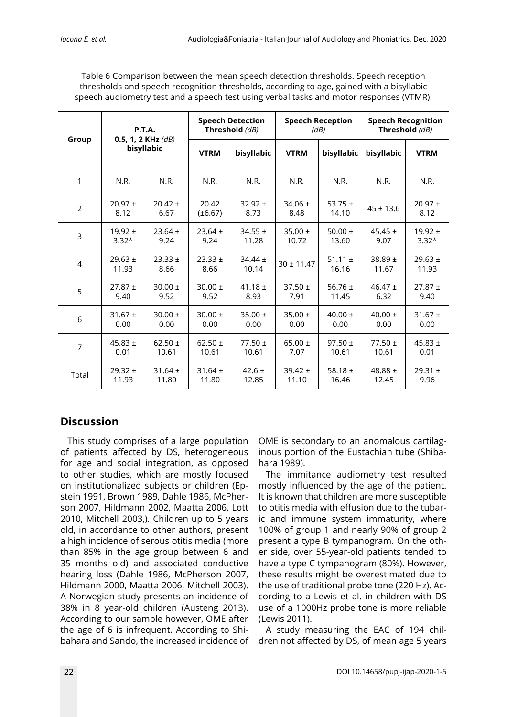| Group          | P.T.A.<br>0.5, 1, 2 KHz $(d)$<br>bisyllabic |                      |                       | <b>Speech Detection</b><br>Threshold (dB) |                      | <b>Speech Reception</b><br>(dB) |                      | <b>Speech Recognition</b><br>Threshold (dB) |  |
|----------------|---------------------------------------------|----------------------|-----------------------|-------------------------------------------|----------------------|---------------------------------|----------------------|---------------------------------------------|--|
|                |                                             |                      | <b>VTRM</b>           | bisyllabic                                | <b>VTRM</b>          | bisyllabic                      | bisyllabic           | <b>VTRM</b>                                 |  |
| 1              | N.R.                                        | N.R.                 | N.R.                  | N.R.                                      | N.R.                 | N.R.                            | N.R.                 | N.R.                                        |  |
| 2              | $20.97 \pm$<br>8.12                         | $20.42 \pm$<br>6.67  | 20.42<br>$(\pm 6.67)$ | $32.92 \pm$<br>8.73                       | 34.06 $\pm$<br>8.48  | 53.75 $\pm$<br>14.10            | $45 \pm 13.6$        | $20.97 \pm$<br>8.12                         |  |
| 3              | $19.92 \pm$<br>$3.32*$                      | $23.64 \pm$<br>9.24  | $23.64 \pm$<br>9.24   | $34.55 \pm$<br>11.28                      | $35.00 \pm$<br>10.72 | 50.00 $\pm$<br>13.60            | 45.45 $\pm$<br>9.07  | $19.92 \pm$<br>$3.32*$                      |  |
| $\overline{4}$ | $29.63 \pm$<br>11.93                        | $23.33 \pm$<br>8.66  | $23.33 \pm$<br>8.66   | $34.44 \pm$<br>10.14                      | $30 \pm 11.47$       | 51.11 $\pm$<br>16.16            | $38.89 \pm$<br>11.67 | $29.63 \pm$<br>11.93                        |  |
| 5              | $27.87 \pm$<br>9.40                         | $30.00 \pm$<br>9.52  | $30.00 \pm$<br>9.52   | 41.18 $\pm$<br>8.93                       | $37.50 \pm$<br>7.91  | 56.76 $\pm$<br>11.45            | 46.47 $\pm$<br>6.32  | $27.87 \pm$<br>9.40                         |  |
| 6              | $31.67 \pm$<br>0.00                         | $30.00 \pm$<br>0.00  | $30.00 \pm$<br>0.00   | $35.00 \pm$<br>0.00                       | $35.00 \pm$<br>0.00  | 40.00 $\pm$<br>0.00             | 40.00 $\pm$<br>0.00  | $31.67 \pm$<br>0.00                         |  |
| 7              | $45.83 \pm$<br>0.01                         | $62.50 \pm$<br>10.61 | 62.50 $\pm$<br>10.61  | $77.50 \pm$<br>10.61                      | 65.00 $\pm$<br>7.07  | $97.50 \pm$<br>10.61            | $77.50 \pm$<br>10.61 | 45.83 $\pm$<br>0.01                         |  |
| Total          | $29.32 \pm$<br>11.93                        | $31.64 \pm$<br>11.80 | $31.64 \pm$<br>11.80  | 42.6 $\pm$<br>12.85                       | $39.42 \pm$<br>11.10 | 58.18 $\pm$<br>16.46            | 48.88 $\pm$<br>12.45 | $29.31 \pm$<br>9.96                         |  |

Table 6 Comparison between the mean speech detection thresholds. Speech reception thresholds and speech recognition thresholds, according to age, gained with a bisyllabic speech audiometry test and a speech test using verbal tasks and motor responses (VTMR).

# **Discussion**

This study comprises of a large population of patients affected by DS, heterogeneous for age and social integration, as opposed to other studies, which are mostly focused on institutionalized subjects or children (Epstein 1991, Brown 1989, Dahle 1986, McPherson 2007, Hildmann 2002, Maatta 2006, Lott 2010, Mitchell 2003,). Children up to 5 years old, in accordance to other authors, present a high incidence of serous otitis media (more than 85% in the age group between 6 and 35 months old) and associated conductive hearing loss (Dahle 1986, McPherson 2007, Hildmann 2000, Maatta 2006, Mitchell 2003). A Norwegian study presents an incidence of 38% in 8 year-old children (Austeng 2013). According to our sample however, OME after the age of 6 is infrequent. According to Shibahara and Sando, the increased incidence of OME is secondary to an anomalous cartilaginous portion of the Eustachian tube (Shibahara 1989).

The immitance audiometry test resulted mostly influenced by the age of the patient. It is known that children are more susceptible to otitis media with effusion due to the tubaric and immune system immaturity, where 100% of group 1 and nearly 90% of group 2 present a type B tympanogram. On the other side, over 55-year-old patients tended to have a type C tympanogram (80%). However, these results might be overestimated due to the use of traditional probe tone (220 Hz). According to a Lewis et al. in children with DS use of a 1000Hz probe tone is more reliable (Lewis 2011).

A study measuring the EAC of 194 children not affected by DS, of mean age 5 years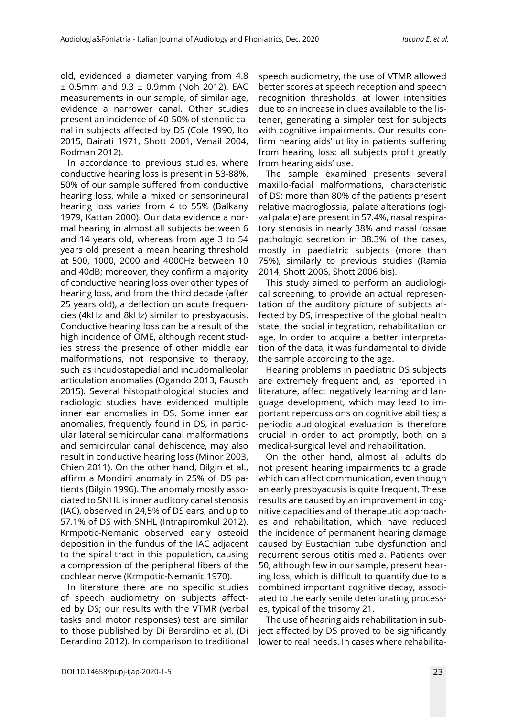old, evidenced a diameter varying from 4.8 ± 0.5mm and 9.3 ± 0.9mm (Noh 2012). EAC measurements in our sample, of similar age, evidence a narrower canal. Other studies present an incidence of 40-50% of stenotic canal in subjects affected by DS (Cole 1990, Ito 2015, Bairati 1971, Shott 2001, Venail 2004, Rodman 2012).

In accordance to previous studies, where conductive hearing loss is present in 53-88%, 50% of our sample suffered from conductive hearing loss, while a mixed or sensorineural hearing loss varies from 4 to 55% (Balkany 1979, Kattan 2000). Our data evidence a normal hearing in almost all subjects between 6 and 14 years old, whereas from age 3 to 54 years old present a mean hearing threshold at 500, 1000, 2000 and 4000Hz between 10 and 40dB; moreover, they confirm a majority of conductive hearing loss over other types of hearing loss, and from the third decade (after 25 years old), a deflection on acute frequencies (4kHz and 8kHz) similar to presbyacusis. Conductive hearing loss can be a result of the high incidence of OME, although recent studies stress the presence of other middle ear malformations, not responsive to therapy, such as incudostapedial and incudomalleolar articulation anomalies (Ogando 2013, Fausch 2015). Several histopathological studies and radiologic studies have evidenced multiple inner ear anomalies in DS. Some inner ear anomalies, frequently found in DS, in particular lateral semicircular canal malformations and semicircular canal dehiscence, may also result in conductive hearing loss (Minor 2003, Chien 2011). On the other hand, Bilgin et al., affirm a Mondini anomaly in 25% of DS patients (Bilgin 1996). The anomaly mostly associated to SNHL is inner auditory canal stenosis (IAC), observed in 24,5% of DS ears, and up to 57.1% of DS with SNHL (Intrapiromkul 2012). Krmpotic-Nemanic observed early osteoid deposition in the fundus of the IAC adjacent to the spiral tract in this population, causing a compression of the peripheral fibers of the cochlear nerve (Krmpotic-Nemanic 1970).

In literature there are no specific studies of speech audiometry on subjects affected by DS; our results with the VTMR (verbal tasks and motor responses) test are similar to those published by Di Berardino et al. (Di Berardino 2012). In comparison to traditional

speech audiometry, the use of VTMR allowed better scores at speech reception and speech recognition thresholds, at lower intensities due to an increase in clues available to the listener, generating a simpler test for subjects with cognitive impairments. Our results confirm hearing aids' utility in patients suffering from hearing loss: all subjects profit greatly from hearing aids' use.

The sample examined presents several maxillo-facial malformations, characteristic of DS: more than 80% of the patients present relative macroglossia, palate alterations (ogival palate) are present in 57.4%, nasal respiratory stenosis in nearly 38% and nasal fossae pathologic secretion in 38.3% of the cases, mostly in paediatric subjects (more than 75%), similarly to previous studies (Ramia 2014, Shott 2006, Shott 2006 bis).

This study aimed to perform an audiological screening, to provide an actual representation of the auditory picture of subjects affected by DS, irrespective of the global health state, the social integration, rehabilitation or age. In order to acquire a better interpretation of the data, it was fundamental to divide the sample according to the age.

Hearing problems in paediatric DS subjects are extremely frequent and, as reported in literature, affect negatively learning and language development, which may lead to important repercussions on cognitive abilities; a periodic audiological evaluation is therefore crucial in order to act promptly, both on a medical-surgical level and rehabilitation.

On the other hand, almost all adults do not present hearing impairments to a grade which can affect communication, even though an early presbyacusis is quite frequent. These results are caused by an improvement in cognitive capacities and of therapeutic approaches and rehabilitation, which have reduced the incidence of permanent hearing damage caused by Eustachian tube dysfunction and recurrent serous otitis media. Patients over 50, although few in our sample, present hearing loss, which is difficult to quantify due to a combined important cognitive decay, associated to the early senile deteriorating processes, typical of the trisomy 21.

The use of hearing aids rehabilitation in subject affected by DS proved to be significantly lower to real needs. In cases where rehabilita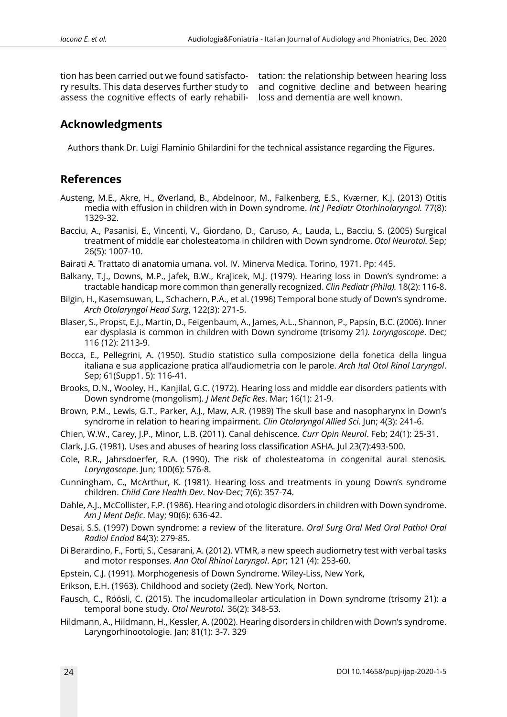tion has been carried out we found satisfactory results. This data deserves further study to assess the cognitive effects of early rehabili-

tation: the relationship between hearing loss and cognitive decline and between hearing loss and dementia are well known.

## **Acknowledgments**

Authors thank Dr. Luigi Flaminio Ghilardini for the technical assistance regarding the Figures.

## **References**

- Austeng, M.E., Akre, H., Øverland, B., Abdelnoor, M., Falkenberg, E.S., Kværner, K.J. (2013) Otitis media with effusion in children with in Down syndrome. *Int J Pediatr Otorhinolaryngol.* 77(8): 1329-32.
- Bacciu, A., Pasanisi, E., Vincenti, V., Giordano, D., Caruso, A., Lauda, L., Bacciu, S. (2005) Surgical treatment of middle ear cholesteatoma in children with Down syndrome. *Otol Neurotol.* Sep; 26(5): 1007-10.
- Bairati A. Trattato di anatomia umana. vol. IV. Minerva Medica. Torino, 1971. Pp: 445.
- Balkany, T.J., Downs, M.P., Jafek, B.W., KraJicek, M.J. (1979). Hearing loss in Down's syndrome: a tractable handicap more common than generally recognized. *Clin Pediatr (Phila).* 18(2): 116-8.
- Bilgin, H., Kasemsuwan, L., Schachern, P.A., et al. (1996) Temporal bone study of Down's syndrome. *Arch Otolaryngol Head Surg*, 122(3): 271-5.
- Blaser, S., Propst, E.J., Martin, D., Feigenbaum, A., James, A.L., Shannon, P., Papsin, B.C. (2006). Inner ear dysplasia is common in children with Down syndrome (trisomy 21*). Laryngoscope*. Dec; 116 (12): 2113-9.
- Bocca, E., Pellegrini, A. (1950). Studio statistico sulla composizione della fonetica della lingua italiana e sua applicazione pratica all'audiometria con le parole. *Arch Ital Otol Rinol Laryngol*. Sep; 61(Supp1. 5): 116-41.
- Brooks, D.N., Wooley, H., Kanjilal, G.C. (1972). Hearing loss and middle ear disorders patients with Down syndrome (mongolism). *J Ment Defic Res*. Mar; 16(1): 21-9.
- Brown, P.M., Lewis, G.T., Parker, A.J., Maw, A.R. (1989) The skull base and nasopharynx in Down's syndrome in relation to hearing impairment. *Clin Otolaryngol Allied Sci.* Jun; 4(3): 241-6.
- Chien, W.W., Carey, J.P., Minor, L.B. (2011). Canal dehiscence. *Curr Opin Neurol*. Feb; 24(1): 25-31.

Clark, J.G. (1981). Uses and abuses of hearing loss classification ASHA. Jul 23(7):493-500.

- Cole, R.R., Jahrsdoerfer, R.A. (1990). The risk of cholesteatoma in congenital aural stenosis*. Laryngoscope*. Jun; 100(6): 576-8.
- Cunningham, C., McArthur, K. (1981). Hearing loss and treatments in young Down's syndrome children. *Child Care Health Dev*. Nov-Dec; 7(6): 357-74.
- Dahle, A.J., McCollister, F.P. (1986). Hearing and otologic disorders in children with Down syndrome. *Am J Ment Defic*. May; 90(6): 636-42.
- Desai, S.S. (1997) Down syndrome: a review of the literature. *Oral Surg Oral Med Oral Pathol Oral Radiol Endod* 84(3): 279-85.
- Di Berardino, F., Forti, S., Cesarani, A. (2012). VTMR, a new speech audiometry test with verbal tasks and motor responses. *Ann Otol Rhinol Laryngol*. Apr; 121 (4): 253-60.
- Epstein, C.J. (1991). Morphogenesis of Down Syndrome. Wiley-Liss, New York,
- Erikson, E.H. (1963). Childhood and society (2ed). New York, Norton.
- Fausch, C., Röösli, C. (2015). The incudomalleolar articulation in Down syndrome (trisomy 21): a temporal bone study. *Otol Neurotol.* 36(2): 348-53.
- Hildmann, A., Hildmann, H., Kessler, A. (2002). Hearing disorders in children with Down's syndrome. Laryngorhinootologie. Jan; 81(1): 3-7. 329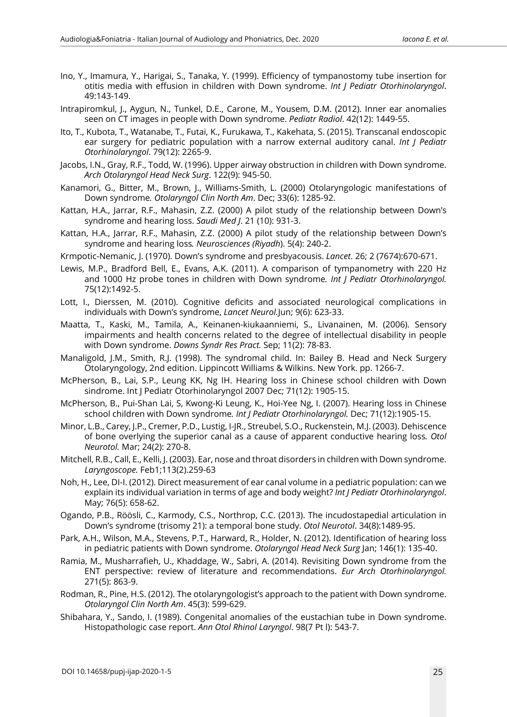- Ino, Y., Imamura, Y., Harigai, S., Tanaka, Y. (1999). Efficiency of tympanostomy tube insertion for otitis media with effusion in children with Down syndrome. *Int J Pediatr Otorhinolaryngol*. 49:143-149.
- Intrapiromkul, J., Aygun, N., Tunkel, D.E., Carone, M., Yousem, D.M. (2012). Inner ear anomalies seen on CT images in people with Down syndrome. *Pediatr Radiol*. 42(12): 1449-55.
- Ito, T., Kubota, T., Watanabe, T., Futai, K., Furukawa, T., Kakehata, S. (2015). Transcanal endoscopic ear surgery for pediatric population with a narrow external auditory canal. *Int J Pediatr Otorhinolaryngol*. 79(12): 2265-9.
- Jacobs, I.N., Gray, R.F., Todd, W. (1996). Upper airway obstruction in children with Down syndrome. *Arch Otolaryngol Head Neck Surg*. 122(9): 945-50.
- Kanamori, G., Bitter, M., Brown, J., Williams-Smith, L. (2000) Otolaryngologic manifestations of Down syndrome*. Otolaryngol Clin North Am*. Dec; 33(6): 1285-92.
- Kattan, H.A., Jarrar, R.F., Mahasin, Z.Z. (2000) A pilot study of the relationship between Down's syndrome and hearing loss. *Saudi Med J*. 21 (10): 931-3.
- Kattan, H.A., Jarrar, R.F., Mahasin, Z.Z. (2000) A pilot study of the relationship between Down's syndrome and hearing loss*. Neurosciences (Riyadh*). 5(4): 240-2.
- Krmpotic-Nemanic, J. (1970). Down's syndrome and presbyacousis. *Lancet*. 26; 2 (7674):670-671.
- Lewis, M.P., Bradford Bell, E., Evans, A.K. (2011). A comparison of tympanometry with 220 Hz and 1000 Hz probe tones in children with Down syndrome*. Int J Pediatr Otorhinolaryngol.* 75(12):1492-5.
- Lott, I., Dierssen, M. (2010). Cognitive deficits and associated neurological complications in individuals with Down's syndrome, *Lancet Neurol.*Jun; 9(6): 623-33.
- Maatta, T., Kaski, M., Tamila, A., Keinanen-kiukaanniemi, S., Livanainen, M. (2006). Sensory impairments and health concerns related to the degree of intellectual disability in people with Down syndrome. *Downs Syndr Res Pract.* Sep; 11(2): 78-83.
- Manaligold, J.M., Smith, R.J. (1998). The syndromal child. In: Bailey B. Head and Neck Surgery Otolaryngology, 2nd edition. Lippincott Williams & Wilkins. New York. pp. 1266-7.
- McPherson, B., Lai, S.P., Leung KK, Ng IH. Hearing loss in Chinese school children with Down sindrome. Int J Pediatr Otorhinolaryngol 2007 Dec; 71(12): 1905-15.
- McPherson, B., Pui-Shan Lai, S, Kwong-Ki Leung, K., Hoi-Yee Ng, I. (2007). Hearing loss in Chinese school children with Down syndrome*. Int J Pediatr Otorhinolaryngol.* Dec; 71(12):1905-15.
- Minor, L.B., Carey, J.P., Cremer, P.D., Lustig, I-JR., Streubel, S.O., Ruckenstein, M.J. (2003). Dehiscence of bone overlying the superior canal as a cause of apparent conductive hearing loss*. Otol Neurotol.* Mar; 24(2): 270-8.
- Mitchell, R.B., Call, E., Kelli, J. (2003). Ear, nose and throat disorders in children with Down syndrome. *Laryngoscope.* Feb1;113(2).259-63
- Noh, H., Lee, DI-I. (2012). Direct measurement of ear canal volume in a pediatric population: can we explain its individual variation in terms of age and body weight? *Int J Pediatr Otorhinolaryngol*. May; 76(5): 658-62.
- Ogando, P.B., Röösli, C., Karmody, C.S., Northrop, C.C. (2013). The incudostapedial articulation in Down's syndrome (trisomy 21): a temporal bone study. *Otol Neurotol*. 34(8):1489-95.
- Park, A.H., Wilson, M.A., Stevens, P.T., Harward, R., Holder, N. (2012). Identification of hearing loss in pediatric patients with Down syndrome. *Otolaryngol Head Neck Surg* Jan; 146(1): 135-40.
- Ramia, M., Musharrafieh, U., Khaddage, W., Sabri, A. (2014). Revisiting Down syndrome from the ENT perspective: review of literature and recommendations. *Eur Arch Otorhinolaryngol.* 271(5): 863-9.
- Rodman, R., Pine, H.S. (2012). The otolaryngologist's approach to the patient with Down syndrome. *Otolaryngol Clin North Am*. 45(3): 599-629.
- Shibahara, Y., Sando, I. (1989). Congenital anomalies of the eustachian tube in Down syndrome. Histopathologic case report. *Ann Otol Rhinol Laryngol*. 98(7 Pt l): 543-7.